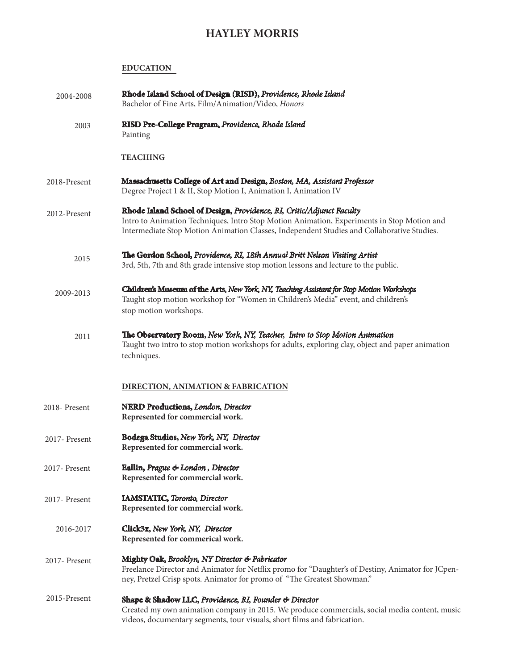# **HAYLEY MORRIS**

### **EDUCATION**

| 2004-2008     | Rhode Island School of Design (RISD), Providence, Rhode Island<br>Bachelor of Fine Arts, Film/Animation/Video, Honors                                                                                                                                             |
|---------------|-------------------------------------------------------------------------------------------------------------------------------------------------------------------------------------------------------------------------------------------------------------------|
| 2003          | RISD Pre-College Program, Providence, Rhode Island<br>Painting                                                                                                                                                                                                    |
|               | <b>TEACHING</b>                                                                                                                                                                                                                                                   |
| 2018-Present  | Massachusetts College of Art and Design, Boston, MA, Assistant Professor<br>Degree Project 1 & II, Stop Motion I, Animation I, Animation IV                                                                                                                       |
| 2012-Present  | Rhode Island School of Design, Providence, RI, Critic/Adjunct Faculty<br>Intro to Animation Techniques, Intro Stop Motion Animation, Experiments in Stop Motion and<br>Intermediate Stop Motion Animation Classes, Independent Studies and Collaborative Studies. |
| 2015          | The Gordon School, Providence, RI, 18th Annual Britt Nelson Visiting Artist<br>3rd, 5th, 7th and 8th grade intensive stop motion lessons and lecture to the public.                                                                                               |
| 2009-2013     | Children's Museum of the Arts, New York, NY, Teaching Assistant for Stop Motion Workshops<br>Taught stop motion workshop for "Women in Children's Media" event, and children's<br>stop motion workshops.                                                          |
| 2011          | The Observatory Room, New York, NY, Teacher, Intro to Stop Motion Animation<br>Taught two intro to stop motion workshops for adults, exploring clay, object and paper animation<br>techniques.                                                                    |
|               | <b>DIRECTION, ANIMATION &amp; FABRICATION</b>                                                                                                                                                                                                                     |
| 2018- Present | <b>NERD Productions, London, Director</b><br>Represented for commercial work.                                                                                                                                                                                     |
| 2017- Present | Bodega Studios, New York, NY, Director<br>Represented for commercial work.                                                                                                                                                                                        |
| 2017- Present | Eallin, Prague & London, Director<br>Represented for commercial work.                                                                                                                                                                                             |
| 2017- Present | <b>IAMSTATIC, Toronto, Director</b><br>Represented for commercial work.                                                                                                                                                                                           |
| 2016-2017     | Click3x, New York, NY, Director<br>Represented for commerical work.                                                                                                                                                                                               |
| 2017- Present | Mighty Oak, Brooklyn, NY Director & Fabricator<br>Freelance Director and Animator for Netflix promo for "Daughter's of Destiny, Animator for JCpen-<br>ney, Pretzel Crisp spots. Animator for promo of "The Greatest Showman."                                    |
| 2015-Present  | Shape & Shadow LLC, Providence, RI, Founder & Director<br>Created my own animation company in 2015. We produce commercials, social media content, music<br>videos, documentary segments, tour visuals, short films and fabrication.                               |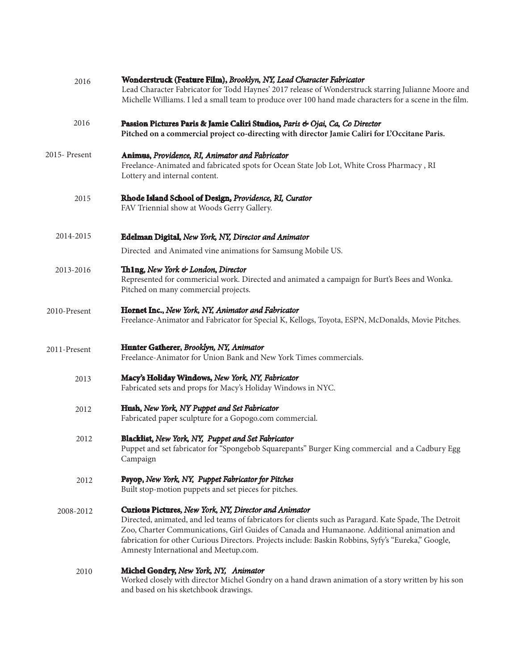| 2016          | Wonderstruck (Feature Film), Brooklyn, NY, Lead Character Fabricator<br>Lead Character Fabricator for Todd Haynes' 2017 release of Wonderstruck starring Julianne Moore and<br>Michelle Williams. I led a small team to produce over 100 hand made characters for a scene in the film.                                                                                                                        |
|---------------|---------------------------------------------------------------------------------------------------------------------------------------------------------------------------------------------------------------------------------------------------------------------------------------------------------------------------------------------------------------------------------------------------------------|
| 2016          | Passion Pictures Paris & Jamie Caliri Studios, Paris & Ojai, Ca, Co Director<br>Pitched on a commercial project co-directing with director Jamie Caliri for L'Occitane Paris.                                                                                                                                                                                                                                 |
| 2015- Present | Animus, Providence, RI, Animator and Fabricator<br>Freelance-Animated and fabricated spots for Ocean State Job Lot, White Cross Pharmacy, RI<br>Lottery and internal content.                                                                                                                                                                                                                                 |
| 2015          | Rhode Island School of Design, Providence, RI, Curator<br>FAV Triennial show at Woods Gerry Gallery.                                                                                                                                                                                                                                                                                                          |
| 2014-2015     | Edelman Digital, New York, NY, Director and Animator                                                                                                                                                                                                                                                                                                                                                          |
|               | Directed and Animated vine animations for Samsung Mobile US.                                                                                                                                                                                                                                                                                                                                                  |
| 2013-2016     | Thing, New York & London, Director<br>Represented for commericial work. Directed and animated a campaign for Burt's Bees and Wonka.<br>Pitched on many commercial projects.                                                                                                                                                                                                                                   |
| 2010-Present  | Hornet Inc., New York, NY, Animator and Fabricator<br>Freelance-Animator and Fabricator for Special K, Kellogs, Toyota, ESPN, McDonalds, Movie Pitches.                                                                                                                                                                                                                                                       |
| 2011-Present  | Hunter Gatherer, Brooklyn, NY, Animator<br>Freelance-Animator for Union Bank and New York Times commercials.                                                                                                                                                                                                                                                                                                  |
| 2013          | Macy's Holiday Windows, New York, NY, Fabricator<br>Fabricated sets and props for Macy's Holiday Windows in NYC.                                                                                                                                                                                                                                                                                              |
| 2012          | Hush, New York, NY Puppet and Set Fabricator<br>Fabricated paper sculpture for a Gopogo.com commercial.                                                                                                                                                                                                                                                                                                       |
| 2012          | Blacklist, New York, NY, Puppet and Set Fabricator<br>Puppet and set fabricator for "Spongebob Squarepants" Burger King commercial and a Cadbury Egg<br>Campaign                                                                                                                                                                                                                                              |
| 2012          | Psyop, New York, NY, Puppet Fabricator for Pitches<br>Built stop-motion puppets and set pieces for pitches.                                                                                                                                                                                                                                                                                                   |
| 2008-2012     | Curious Pictures, New York, NY, Director and Animator<br>Directed, animated, and led teams of fabricators for clients such as Paragard. Kate Spade, The Detroit<br>Zoo, Charter Communications, Girl Guides of Canada and Humanaone. Additional animation and<br>fabrication for other Curious Directors. Projects include: Baskin Robbins, Syfy's "Eureka," Google,<br>Amnesty International and Meetup.com. |
| 2010          | Michel Gondry, New York, NY, Animator<br>Worked closely with director Michel Gondry on a hand drawn animation of a story written by his son<br>and based on his sketchbook drawings.                                                                                                                                                                                                                          |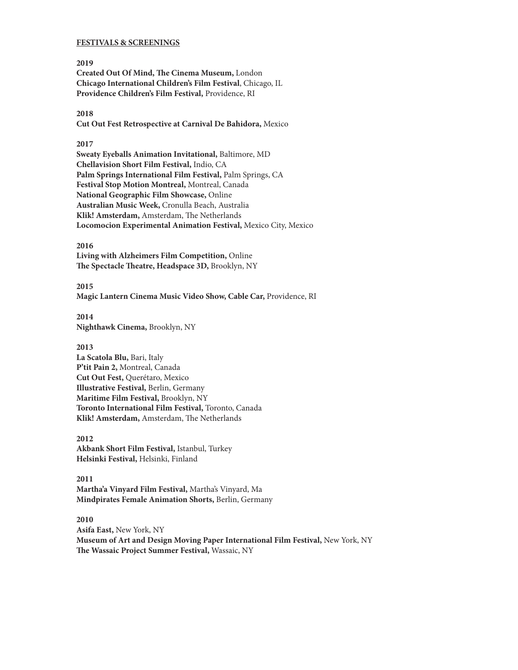#### **FESTIVALS & SCREENINGS**

**2019 Created Out Of Mind, The Cinema Museum,** London **Chicago International Children's Film Festival**, Chicago, IL **Providence Children's Film Festival,** Providence, RI

#### **2018**

**Cut Out Fest Retrospective at Carnival De Bahidora,** Mexico

#### **2017**

**Sweaty Eyeballs Animation Invitational,** Baltimore, MD **Chellavision Short Film Festival,** Indio, CA **Palm Springs International Film Festival,** Palm Springs, CA **Festival Stop Motion Montreal,** Montreal, Canada **National Geographic Film Showcase,** Online **Australian Music Week,** Cronulla Beach, Australia **Klik! Amsterdam,** Amsterdam, The Netherlands **Locomocion Experimental Animation Festival,** Mexico City, Mexico

#### **2016**

**Living with Alzheimers Film Competition,** Online **The Spectacle Theatre, Headspace 3D,** Brooklyn, NY

**2015 Magic Lantern Cinema Music Video Show, Cable Car,** Providence, RI

**2014 Nighthawk Cinema,** Brooklyn, NY

#### **2013**

**La Scatola Blu,** Bari, Italy **P'tit Pain 2,** Montreal, Canada **Cut Out Fest,** Querétaro, Mexico **Illustrative Festival,** Berlin, Germany **Maritime Film Festival,** Brooklyn, NY **Toronto International Film Festival,** Toronto, Canada **Klik! Amsterdam,** Amsterdam, The Netherlands

**2012 Akbank Short Film Festival,** Istanbul, Turkey **Helsinki Festival,** Helsinki, Finland

**2011 Martha'a Vinyard Film Festival,** Martha's Vinyard, Ma **Mindpirates Female Animation Shorts,** Berlin, Germany

**2010**

**Asifa East,** New York, NY **Museum of Art and Design Moving Paper International Film Festival,** New York, NY **The Wassaic Project Summer Festival,** Wassaic, NY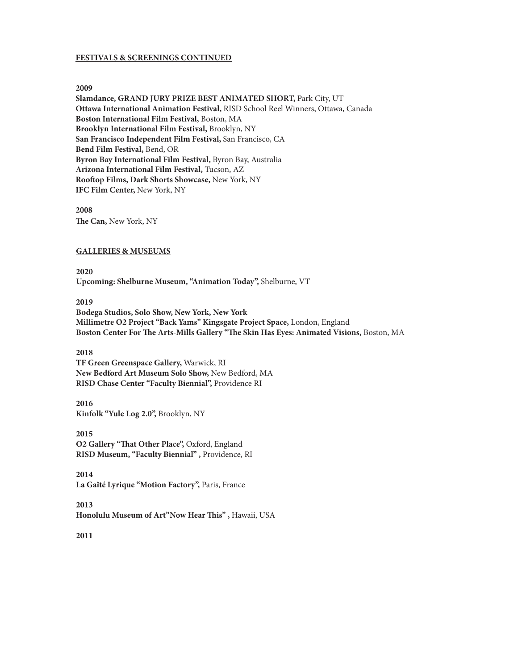#### **FESTIVALS & SCREENINGS CONTINUED**

#### **2009**

**Slamdance, GRAND JURY PRIZE BEST ANIMATED SHORT,** Park City, UT **Ottawa International Animation Festival,** RISD School Reel Winners, Ottawa, Canada **Boston International Film Festival,** Boston, MA **Brooklyn International Film Festival,** Brooklyn, NY **San Francisco Independent Film Festival,** San Francisco, CA **Bend Film Festival,** Bend, OR **Byron Bay International Film Festival,** Byron Bay, Australia **Arizona International Film Festival,** Tucson, AZ **Rooftop Films, Dark Shorts Showcase,** New York, NY **IFC Film Center,** New York, NY

**2008 The Can,** New York, NY

## **GALLERIES & MUSEUMS**

**2020 Upcoming: Shelburne Museum, "Animation Today",** Shelburne, VT

**2019**

**Bodega Studios, Solo Show, New York, New York Millimetre O2 Project "Back Yams" Kingsgate Project Space,** London, England **Boston Center For The Arts-Mills Gallery "The Skin Has Eyes: Animated Visions,** Boston, MA

**2018 TF Green Greenspace Gallery,** Warwick, RI **New Bedford Art Museum Solo Show,** New Bedford, MA **RISD Chase Center "Faculty Biennial",** Providence RI

**2016 Kinfolk "Yule Log 2.0",** Brooklyn, NY

**2015 O2 Gallery "That Other Place",** Oxford, England **RISD Museum, "Faculty Biennial" ,** Providence, RI

**2014 La Gaîté Lyrique "Motion Factory",** Paris, France

**2013 Honolulu Museum of Art"Now Hear This" ,** Hawaii, USA

**2011**